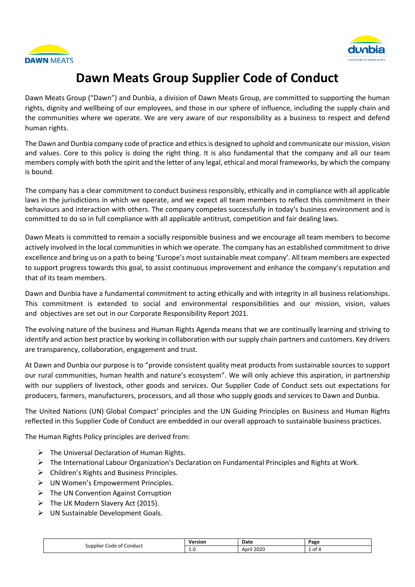



# **Dawn Meats Group Supplier Code of Conduct**

Dawn Meats Group ("Dawn") and Dunbia, a division of Dawn Meats Group, are committed to supporting the human rights, dignity and wellbeing of our employees, and those in our sphere of influence, including the supply chain and the communities where we operate. We are very aware of our responsibility as a business to respect and defend human rights.

The Dawn and Dunbia company code of practice and ethics is designed to uphold and communicate our mission, vision and values. Core to this policy is doing the right thing. It is also fundamental that the company and all our team members comply with both the spirit and the letter of any legal, ethical and moral frameworks, by which the company is bound.

The company has a clear commitment to conduct business responsibly, ethically and in compliance with all applicable laws in the jurisdictions in which we operate, and we expect all team members to reflect this commitment in their behaviours and interaction with others. The company competes successfully in today's business environment and is committed to do so in full compliance with all applicable antitrust, competition and fair dealing laws.

Dawn Meats is committed to remain a socially responsible business and we encourage all team members to become actively involved in the local communities in which we operate. The company has an established commitment to drive excellence and bring us on a path to being 'Europe's most sustainable meat company'. All team members are expected to support progress towards this goal, to assist continuous improvement and enhance the company's reputation and that of its team members.

Dawn and Dunbia have a fundamental commitment to acting ethically and with integrity in all business relationships. This commitment is extended to social and environmental responsibilities and our mission, vision, values and objectives are set out in our [Corporate Responsibility Report 2021.](https://2i2cqz41qq7hduf8z2mmxm8c-wpengine.netdna-ssl.com/wp-content/uploads/2021/09/Group-Sustainability-Report-150921.pdf)

The evolving nature of the business and Human Rights Agenda means that we are continually learning and striving to identify and action best practice by working in collaboration with our supply chain partners and customers. Key drivers are transparency, collaboration, engagement and trust.

At Dawn and Dunbia our purpose is to "provide consistent quality meat products from sustainable sources to support our rural communities, human health and nature's ecosystem". We will only achieve this aspiration, in partnership with our suppliers of livestock, other goods and services. Our Supplier Code of Conduct sets out expectations for producers, farmers, manufacturers, processors, and all those who supply goods and services to Dawn and Dunbia.

The United Nations (UN) Global Compact' principles and the UN Guiding Principles on Business and Human Rights reflected in this Supplier Code of Conduct are embedded in our overall approach to sustainable business practices.

The Human Rights Policy principles are derived from:

- $\triangleright$  The Universal Declaration of Human Rights.
- The International Labour Organization's Declaration on Fundamental Principles and Rights at Work.
- $\triangleright$  Children's Rights and Business Principles.
- UN Women's Empowerment Principles.
- $\triangleright$  The UN Convention Against Corruption
- $\triangleright$  The UK Modern Slavery Act (2015).
- UN Sustainable Development Goals.

| Conduct<br>supplier<br>Code<br>ot i | /ersion | Date                                    | Page         |
|-------------------------------------|---------|-----------------------------------------|--------------|
|                                     | ⊥.∪     | $\sim$ $\sim$ $\sim$<br>April<br>$\sim$ | $\sim$<br>וט |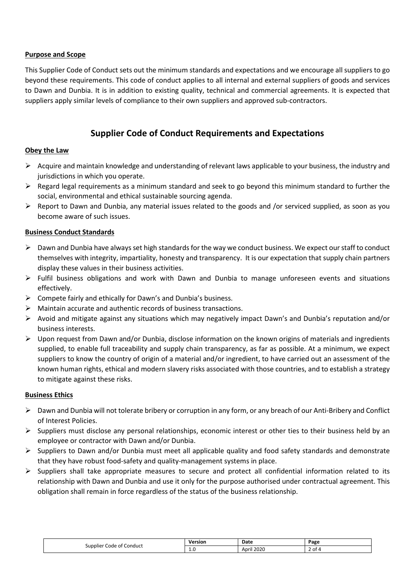### **Purpose and Scope**

This Supplier Code of Conduct sets out the minimum standards and expectations and we encourage all suppliers to go beyond these requirements. This code of conduct applies to all internal and external suppliers of goods and services to Dawn and Dunbia. It is in addition to existing quality, technical and commercial agreements. It is expected that suppliers apply similar levels of compliance to their own suppliers and approved sub-contractors.

# **Supplier Code of Conduct Requirements and Expectations**

# **Obey the Law**

- $\triangleright$  Acquire and maintain knowledge and understanding of relevant laws applicable to your business, the industry and jurisdictions in which you operate.
- $\triangleright$  Regard legal requirements as a minimum standard and seek to go beyond this minimum standard to further the social, environmental and ethical sustainable sourcing agenda.
- $\triangleright$  Report to Dawn and Dunbia, any material issues related to the goods and /or serviced supplied, as soon as you become aware of such issues.

#### **Business Conduct Standards**

- $\triangleright$  Dawn and Dunbia have always set high standards for the way we conduct business. We expect our staff to conduct themselves with integrity, impartiality, honesty and transparency. It is our expectation that supply chain partners display these values in their business activities.
- $\triangleright$  Fulfil business obligations and work with Dawn and Dunbia to manage unforeseen events and situations effectively.
- $\triangleright$  Compete fairly and ethically for Dawn's and Dunbia's business.
- $\triangleright$  Maintain accurate and authentic records of business transactions.
- Avoid and mitigate against any situations which may negatively impact Dawn's and Dunbia's reputation and/or business interests.
- $\triangleright$  Upon request from Dawn and/or Dunbia, disclose information on the known origins of materials and ingredients supplied, to enable full traceability and supply chain transparency, as far as possible. At a minimum, we expect suppliers to know the country of origin of a material and/or ingredient, to have carried out an assessment of the known human rights, ethical and modern slavery risks associated with those countries, and to establish a strategy to mitigate against these risks.

#### **Business Ethics**

- $\triangleright$  Dawn and Dunbia will not tolerate bribery or corruption in any form, or any breach of our Anti-Bribery and Conflict of Interest Policies.
- $\triangleright$  Suppliers must disclose any personal relationships, economic interest or other ties to their business held by an employee or contractor with Dawn and/or Dunbia.
- $\triangleright$  Suppliers to Dawn and/or Dunbia must meet all applicable quality and food safety standards and demonstrate that they have robust food-safety and quality-management systems in place.
- $\triangleright$  Suppliers shall take appropriate measures to secure and protect all confidential information related to its relationship with Dawn and Dunbia and use it only for the purpose authorised under contractual agreement. This obligation shall remain in force regardless of the status of the business relationship.

| Conduct<br>Supplier<br>Code of | Version    | Date          | Page     |
|--------------------------------|------------|---------------|----------|
|                                | <b>L.U</b> | 2020<br>April | .ot<br>- |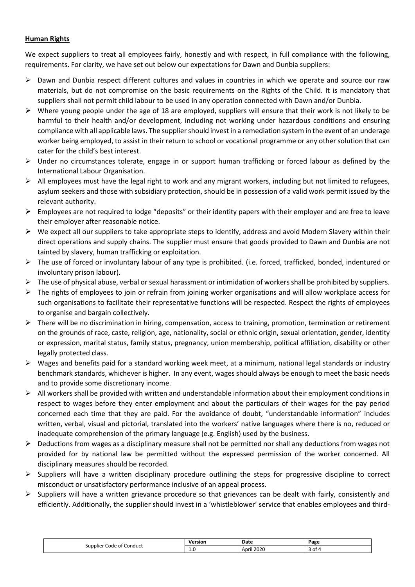# **Human Rights**

We expect suppliers to treat all employees fairly, honestly and with respect, in full compliance with the following, requirements. For clarity, we have set out below our expectations for Dawn and Dunbia suppliers:

- $\triangleright$  Dawn and Dunbia respect different cultures and values in countries in which we operate and source our raw materials, but do not compromise on the basic requirements on the Rights of the Child. It is mandatory that suppliers shall not permit child labour to be used in any operation connected with Dawn and/or Dunbia.
- $\triangleright$  Where young people under the age of 18 are employed, suppliers will ensure that their work is not likely to be harmful to their health and/or development, including not working under hazardous conditions and ensuring compliance with all applicable laws. The supplier should invest in a remediation system in the event of an underage worker being employed, to assist in their return to school or vocational programme or any other solution that can cater for the child's best interest.
- $\triangleright$  Under no circumstances tolerate, engage in or support human trafficking or forced labour as defined by the International Labour Organisation.
- $\triangleright$  All employees must have the legal right to work and any migrant workers, including but not limited to refugees, asylum seekers and those with subsidiary protection, should be in possession of a valid work permit issued by the relevant authority.
- $\triangleright$  Employees are not required to lodge "deposits" or their identity papers with their employer and are free to leave their employer after reasonable notice.
- $\triangleright$  We expect all our suppliers to take appropriate steps to identify, address and avoid Modern Slavery within their direct operations and supply chains. The supplier must ensure that goods provided to Dawn and Dunbia are not tainted by slavery, human trafficking or exploitation.
- $\triangleright$  The use of forced or involuntary labour of any type is prohibited. (i.e. forced, trafficked, bonded, indentured or involuntary prison labour).
- $\triangleright$  The use of physical abuse, verbal or sexual harassment or intimidation of workers shall be prohibited by suppliers.
- $\triangleright$  The rights of employees to join or refrain from joining worker organisations and will allow workplace access for such organisations to facilitate their representative functions will be respected. Respect the rights of employees to organise and bargain collectively.
- $\triangleright$  There will be no discrimination in hiring, compensation, access to training, promotion, termination or retirement on the grounds of race, caste, religion, age, nationality, social or ethnic origin, sexual orientation, gender, identity or expression, marital status, family status, pregnancy, union membership, political affiliation, disability or other legally protected class.
- $\triangleright$  Wages and benefits paid for a standard working week meet, at a minimum, national legal standards or industry benchmark standards, whichever is higher. In any event, wages should always be enough to meet the basic needs and to provide some discretionary income.
- $\triangleright$  All workers shall be provided with written and understandable information about their employment conditions in respect to wages before they enter employment and about the particulars of their wages for the pay period concerned each time that they are paid. For the avoidance of doubt, "understandable information" includes written, verbal, visual and pictorial, translated into the workers' native languages where there is no, reduced or inadequate comprehension of the primary language (e.g. English) used by the business.
- $\triangleright$  Deductions from wages as a disciplinary measure shall not be permitted nor shall any deductions from wages not provided for by national law be permitted without the expressed permission of the worker concerned. All disciplinary measures should be recorded.
- $\triangleright$  Suppliers will have a written disciplinary procedure outlining the steps for progressive discipline to correct misconduct or unsatisfactory performance inclusive of an appeal process.
- $\triangleright$  Suppliers will have a written grievance procedure so that grievances can be dealt with fairly, consistently and efficiently. Additionally, the supplier should invest in a 'whistleblower' service that enables employees and third-

| <sup>.</sup> Conduct<br>Supplier'<br>code of f | <b>Version</b><br>---- - | Date                     | Page |
|------------------------------------------------|--------------------------|--------------------------|------|
|                                                | <b>L.U</b><br>__         | il 2020<br>April<br>____ | ot 4 |